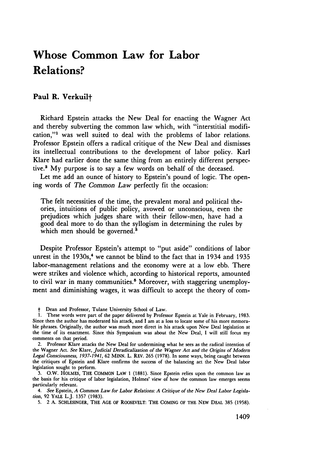## **Whose Common Law for Labor Relations?**

## **Paul R. Verkuilt**

Richard Epstein attacks the New Deal for enacting the Wagner Act and thereby subverting the common law which, with "interstitial modification,"<sup>1</sup> was well suited to deal with the problems of labor relations. Professor Epstein offers a radical critique of the New Deal and dismisses its intellectual contributions to the development of labor policy. Karl Klare had earlier done the same thing from an entirely different perspective.' **My** purpose is to say a few words on behalf of the deceased.

Let me add an ounce of history to Epstein's pound of logic. The opening words of *The Common Law* perfectly fit the occasion:

The felt necessities of the time, the prevalent moral and political theories, intuitions of public policy, avowed or unconscious, even the prejudices which judges share with their fellow-men, have had a good deal more to do than the syllogism in determining the rules **by** which men should be governed.<sup>3</sup>

Despite Professor Epstein's attempt to "put aside" conditions of labor unrest in the 1930s,<sup>4</sup> we cannot be blind to the fact that in 1934 and 1935 labor-management relations and the economy were at a low ebb. There were strikes and violence which, according to historical reports, amounted to civil war in many communities.<sup>5</sup> Moreover, with staggering unemployment and diminishing wages, it was difficult to accept the theory of com-

t Dean and Professor, Tulane University School of Law.

**5. 2 A. SCHLESINGER, THE AGE OF ROOSEVELT: THE COMING OF THE NEW DEAL 385 (1958).**

**<sup>1.</sup>** These words were part of the paper delivered **by** Professor Epstein at Yale in February, **1983.** Since then the author has moderated his attack, and **I** am at a loss to locate some of his more memora**ble** phrases. Originally, the author was much more direct in his attack upon New Deal legislation at the time of its enactment. Since this Symposium was about the New Deal, **I** will still focus my comments on that period.

<sup>2.</sup> Professor Klare attacks the New Deal for undermining what he sees as the radical intention of the Wagner Act. *See* Klare, *Judicial Deradicalization of the Wagner Act and the Origins of Modern Legal Consciousness, 1937-1941,* **62 MINN.** L. REV. **265 (1978).** In some ways, being caught between the critiques of Epstein and Klare confirms the success of the balancing act the New Deal labor legislation sought to perform.

**<sup>3.</sup>** O.W. HOLMES, THE **COMMON** LAW **1 (1881).** Since Epstein relies upon the common law as the basis for his critique of labor legislation, Holmes' view of how the common law emerges seems particularly relevant.

*<sup>4.</sup> See* Epstein, *A Common Law for Labor Relations: A Critique of the New Deal Labor Legislation,* **92** YALE L.J. **1357 (1983).**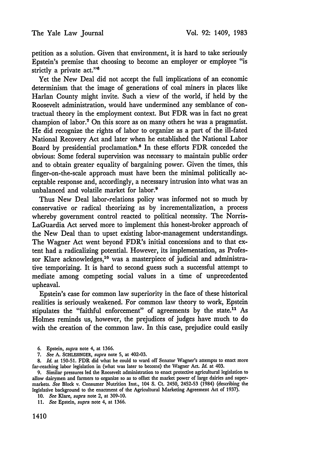petition as a solution. Given that environment, it is hard to take seriously Epstein's premise that choosing to become an employer or employee "is strictly a private act."<sup>8</sup>

Yet the New Deal did not accept the full implications of an economic determinism that the image of generations of coal miners in places like Harlan County might invite. Such a view of the world, if held by the Roosevelt administration, would have undermined any semblance of contractual theory in the employment context. But FDR was in fact no great champion of labor.7 On this score as on many others he was a pragmatist. He did recognize the rights of labor to organize as a part of the ill-fated National Recovery Act and later when he established the National Labor Board by presidential proclamation.8 In these efforts FDR conceded the obvious: Some federal supervision was necessary to maintain public order and to obtain greater equality of bargaining power. Given the times, this finger-on-the-scale approach must have been the minimal politically acceptable response and, accordingly, a necessary intrusion into what was an unbalanced and volatile market for labor.<sup>9</sup>

Thus New Deal labor-relations policy was informed not so much by conservative or radical theorizing as by incrementalization, a process whereby government control reacted to political necessity. The Norris-LaGuardia Act served more to implement this honest-broker approach of the New Deal than to upset existing labor-management understandings. The Wagner Act went beyond FDR's initial concessions and to that extent had a radicalizing potential. However, its implementation, as Professor Klare acknowledges,<sup>10</sup> was a masterpiece of judicial and administrative temporizing. It is hard to second guess such a successful attempt to mediate among competing social values in a time of unprecedented upheaval.

Epstein's case for common law superiority in the face of these historical realities is seriously weakened. For common law theory to work, Epstein stipulates the "faithful enforcement" of agreements by the state.<sup>11</sup> As Holmes reminds us, however, the prejudices of judges have much to do with the creation of the common law. In this case, prejudice could easily

**8.** *Id.* at 150-51. FDR did what he could to ward off Senator Wagner's attempts to enact more far-reaching labor legislation in (what was later to become) the Wagner Act. *Id.* at 403.

<sup>6.</sup> Epstein, *supra* note 4, at 1366.

**<sup>7.</sup>** *See* **A. SCHLESINGER,** *supra* note 5, at 402-03.

<sup>9.</sup> Similar pressures led the Roosevelt administration to enact protective agricultural legislation to allow dairymen and farmers to organize so as to offset the market power of large dairies and supermarkets. *See* Block v. Consumer Nutrition Inst., 104 **S.** Ct. 2450, 2452-53 (1984) (describing the legislative background to the enactment of the Agricultural Marketing Agreement Act of 1937).

<sup>10.</sup> *See* Kare, *supra* note 2, at 309-10.

<sup>11.</sup> *See* Epstein, *supra* note 4, at 1366.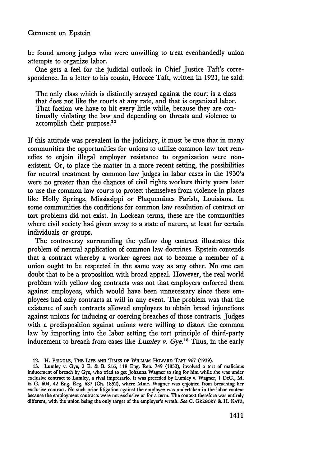## Comment on Epstein

be found among judges who were unwilling to treat evenhandedly union attempts to organize labor.

One gets a feel for the judicial outlook in Chief Justice Taft's correspondence. In a letter to his cousin, Horace Taft, written in 1921, he said:

The only class which is distinctly arrayed against the court is a class that does not like the courts at any rate, and that is organized labor. That faction we have to hit every little while, because they are continually violating the law and depending on threats and violence to accomplish their purpose.<sup>12</sup>

If this attitude was prevalent in the judiciary, it must be true that in many communities the opportunities for unions to utilize common law tort remedies to enjoin illegal employer resistance to organization were nonexistent. Or, to place the matter in a more recent setting, the possibilities for neutral treatment by common law judges in labor cases in the 1930's were no greater than the chances of civil rights workers thirty years later to use the common law courts to protect themselves from violence in places like Holly Springs, Mississippi or Plaquemines Parish, Louisiana. In some communities the conditions for common law resolution of contract or tort problems did not exist. In Lockean terms, these are the communities where civil society had given away to a state of nature, at least for certain individuals or groups.

The controversy surrounding the yellow dog contract illustrates this problem of neutral application of common law doctrines. Epstein contends that a contract whereby a worker agrees not to become a member of a union ought to be respected in the same way as any other. No one can doubt that to be a proposition with broad appeal. However, the real world problem with yellow dog contracts was not that employers enforced them against employees, which would have been unnecessary since these employees had only contracts at will in any event. The problem was that the existence of such contracts allowed employers to obtain broad injunctions against unions for inducing or coercing breaches of those contracts. Judges with a predisposition against unions were willing to distort the common law **by** importing into the labor setting the tort principle of third-party inducement to breach from cases like *Lumley v. Gye.13* Thus, in the early

<sup>12.</sup> H. PRINGLE, THE LIFE **AND TIMES** OF WILLIAM **HOWARD** TAFT **967** (1939).

**<sup>13.</sup>** Lumley v. Gye, 2 **E.** & B. **216, 118** Eng. Rep. 749 **(1853),** involved a tort of malicious inducement of breach **by** Gye, who tried to get Johanna Wagner to sing for him while she was under exclusive contract to Lumley, a rival impresario. It was preceded **by** Lumley v. Wagner, **1** DeG., M. & **G.** 604, 42 Eng. Reg. **687 (Oh. 1852),** where Mine. Wagner was enjoined from breaching her exclusive contract. No such prior litigation against the employee was undertaken in the labor context because the employment contracts were not exclusive or for a term. The context therefore was entirely different, with the union being the only target of the employer's wrath. **See C.** GREGORY & H. **KATZ,**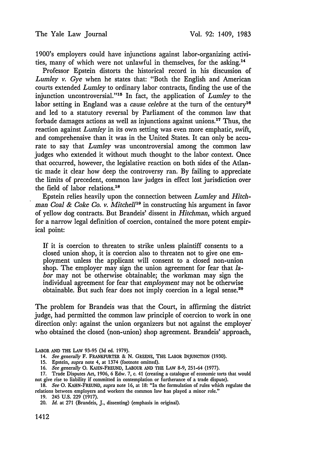1900's employers could have injunctions against labor-organizing activities, many of which were not unlawful in themselves, for the asking.14

Professor Epstein distorts the historical record in his discussion of Lumley *v.* Gye when he states that: "Both the English and American courts extended *Lumley* to ordinary labor contracts, finding the use of the injunction uncontroversial."<sup>15</sup> In fact, the application of *Lumley* to the labor setting in England was a *cause celebre* at the turn of the century<sup>16</sup> and led to a statutory reversal by Parliament of the common law that forbade damages actions as well as injunctions against unions.I7 Thus, the reaction against *Lumley* in its own setting was even more emphatic, swift, and comprehensive than it was in the United States. It can only be accurate to say that *Lumley* was uncontroversial among the common law judges who extended it without much thought to the labor context. Once that occurred, however, the legislative reaction on both sides of the Atlantic made it clear how deep the controversy ran. By failing to appreciate the limits of precedent, common law judges in effect lost jurisdiction over the field of labor relations.<sup>18</sup>

Epstein relies heavily upon the connection between *Lumley* and *Hitchman Coal & Coke Co. v. Mitchell'"* in constructing his argument in favor of yellow dog contracts. But Brandeis' dissent in *Hitchman,* which argued for a narrow legal definition of coercion, contained the more potent empirical point:

If it is coercion to threaten to strike unless plaintiff consents to a closed union shop, it is coercion also to threaten not to give one employment unless the applicant will consent to a closed non-union shop. The employer may sign the union agreement for fear that *labor* may not be otherwise obtainable; the workman may sign the individual agreement for fear that *employment* may not be otherwise obtainable. But such fear does not imply coercion in a legal sense.20

The problem for Brandeis was that the Court, in affirming the district judge, had permitted the common law principle of coercion to work in one direction only: against the union organizers but not against the employer who obtained the closed (non-union) shop agreement. Brandeis' approach,

LABOR **AND THE** LAW 93-95 (3d ed. 1979).

<sup>14.</sup> *See generally* F. FRANKFURTER & N. GREENE, THE LABOR INJUNCTION (1930).

<sup>15.</sup> Epstein, *supra* note 4, at 1374 (footnote omitted).

<sup>16.</sup> *See generally* **0.** KAHN-FREUND, LABOUR **AND** THE LAW 8-9, 251-64 (1977).

<sup>17.</sup> Trade Disputes Act, 1906, 6 Edw. 7, c. 41 (creating a catalogue of economic torts that would not give rise to liability if committed in contemplation or furtherance of a trade dispute).

<sup>18.</sup> *See* **0.** KAHN-FREUND, *supra* note 16, at 18: "In the formulation of rules which regulate the relations between employers and workers the common law has played a minor role."

<sup>19. 245</sup> **U.S.** 229 (1917).

<sup>20.</sup> *Id.* at 271 (Brandeis, J., dissenting) (emphasis in original).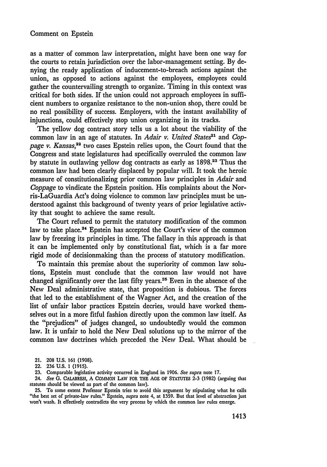as a matter of common law interpretation, might have been one way for the courts to retain jurisdiction over the labor-management setting. By denying the ready application of inducement-to-breach actions against the union, as opposed to actions against the employees, employees could gather the countervailing strength to organize. Timing in this context was critical for both sides. If the union could not approach employees in sufficient numbers to organize resistance to the non-union shop, there could be no real possibility of success. Employers, with the instant availability of injunctions, could effectively stop union organizing in its tracks.

The yellow dog contract story tells us a lot about the viability of the common law in an age of statutes. In *Adair v. United States*<sup>21</sup> and *Coppage v. Kansas,22* two cases Epstein relies upon, the Court found that the Congress and state legislatures had specifically overruled the common law by statute in outlawing yellow dog contracts as early as 1898.23 Thus the common law had been clearly displaced by popular will. It took the heroic measure of constitutionalizing prior common law principles in *Adair* and *Coppage* to vindicate the Epstein position. His complaints about the Norris-LaGuardia Act's doing violence to common law principles must be understood against this background of twenty years of prior legislative activity that sought to achieve the same result.

The Court refused to permit the statutory modification of the common law to take place.<sup>24</sup> Epstein has accepted the Court's view of the common law by freezing its principles in time. The fallacy in this approach is that it can be implemented only by constitutional fiat, which is a far more rigid mode of decisionmaking than the process of statutory modification.

To maintain this premise about the superiority of common law solutions, Epstein must conclude that the common law would not have changed significantly over the last fifty years.25 Even in the absence of the New Deal administrative state, that proposition is dubious. The forces that led to the establishment of the Wagner Act, and the creation of the list of unfair labor practices Epstein decries, would have worked themselves out in a more fitful fashion directly upon the common law itself. As the "prejudices" of judges changed, so undoubtedly would the common law. It is unfair to hold the New Deal solutions up to the mirror of the common law doctrines which preceded the New Deal. What should be

- 21. **208** U.S. 161 (1908).
- 22. 236 U.S. 1 (1915).
- **23.** Comparable legislative activity occurred in England in **1906.** *See supra* note **17.**
- 24. *See* **G.** CALABRESI, **A COMMON LAW** FOR THE **AGE** OF **STATUTES 2-3 (1982)** (arguing that statutes should be viewed as part of the common law).

**25.** To some extent Professor Epstein tries to avoid this argument **by** stipulating what he calls "the best set of private-law rules." Epstein, *supra* note 4, at **1359.** But that level of abstraction just won't wash. It effectively contradicts the very process **by** which the common law rules emerge.